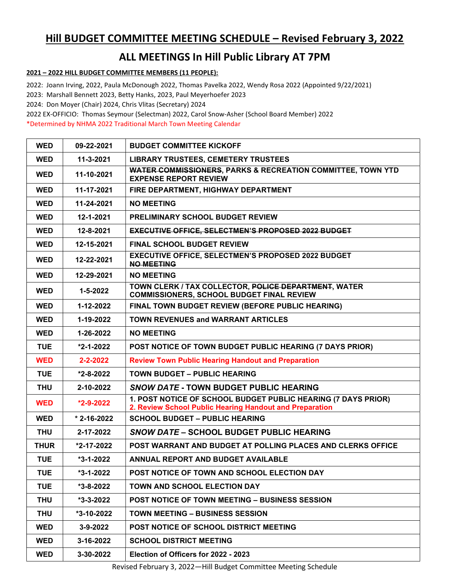## Hill BUDGET COMMITTEE MEETING SCHEDULE – Revised February 3, 2022

## ALL MEETINGS In Hill Public Library AT 7PM

## 2021 – 2022 HILL BUDGET COMMITTEE MEMBERS (11 PEOPLE):

2022: Joann Irving, 2022, Paula McDonough 2022, Thomas Pavelka 2022, Wendy Rosa 2022 (Appointed 9/22/2021) 2023: Marshall Bennett 2023, Betty Hanks, 2023, Paul Meyerhoefer 2023

2024: Don Moyer (Chair) 2024, Chris Vlitas (Secretary) 2024

2022 EX-OFFICIO: Thomas Seymour (Selectman) 2022, Carol Snow-Asher (School Board Member) 2022

\*Determined by NHMA 2022 Traditional March Town Meeting Calendar

| <b>WED</b>  | 09-22-2021        | <b>BUDGET COMMITTEE KICKOFF</b>                                                                                          |
|-------------|-------------------|--------------------------------------------------------------------------------------------------------------------------|
| <b>WED</b>  | 11-3-2021         | <b>LIBRARY TRUSTEES, CEMETERY TRUSTEES</b>                                                                               |
| <b>WED</b>  | 11-10-2021        | <b>WATER COMMISSIONERS, PARKS &amp; RECREATION COMMITTEE, TOWN YTD</b><br><b>EXPENSE REPORT REVIEW</b>                   |
| <b>WED</b>  | 11-17-2021        | FIRE DEPARTMENT, HIGHWAY DEPARTMENT                                                                                      |
| <b>WED</b>  | 11-24-2021        | <b>NO MEETING</b>                                                                                                        |
| <b>WED</b>  | 12-1-2021         | <b>PRELIMINARY SCHOOL BUDGET REVIEW</b>                                                                                  |
| <b>WED</b>  | 12-8-2021         | <b>EXECUTIVE OFFICE, SELECTMEN'S PROPOSED 2022 BUDGET</b>                                                                |
| <b>WED</b>  | 12-15-2021        | <b>FINAL SCHOOL BUDGET REVIEW</b>                                                                                        |
| <b>WED</b>  | 12-22-2021        | <b>EXECUTIVE OFFICE, SELECTMEN'S PROPOSED 2022 BUDGET</b><br><b>NO MEETING</b>                                           |
| <b>WED</b>  | 12-29-2021        | <b>NO MEETING</b>                                                                                                        |
| <b>WED</b>  | $1 - 5 - 2022$    | TOWN CLERK / TAX COLLECTOR, POLICE DEPARTMENT, WATER<br><b>COMMISSIONERS, SCHOOL BUDGET FINAL REVIEW</b>                 |
| <b>WED</b>  | 1-12-2022         | FINAL TOWN BUDGET REVIEW (BEFORE PUBLIC HEARING)                                                                         |
| <b>WED</b>  | 1-19-2022         | <b>TOWN REVENUES and WARRANT ARTICLES</b>                                                                                |
| <b>WED</b>  | 1-26-2022         | <b>NO MEETING</b>                                                                                                        |
| <b>TUE</b>  | $*2 - 1 - 2022$   | POST NOTICE OF TOWN BUDGET PUBLIC HEARING (7 DAYS PRIOR)                                                                 |
| <b>WED</b>  | 2-2-2022          | <b>Review Town Public Hearing Handout and Preparation</b>                                                                |
| <b>TUE</b>  | $*2 - 8 - 2022$   | <b>TOWN BUDGET - PUBLIC HEARING</b>                                                                                      |
| <b>THU</b>  | 2-10-2022         | <b>SNOW DATE - TOWN BUDGET PUBLIC HEARING</b>                                                                            |
| <b>WED</b>  | $*2 - 9 - 2022$   | 1. POST NOTICE OF SCHOOL BUDGET PUBLIC HEARING (7 DAYS PRIOR)<br>2. Review School Public Hearing Handout and Preparation |
| <b>WED</b>  | $* 2 - 16 - 2022$ | <b>SCHOOL BUDGET - PUBLIC HEARING</b>                                                                                    |
| <b>THU</b>  | 2-17-2022         | <b>SNOW DATE - SCHOOL BUDGET PUBLIC HEARING</b>                                                                          |
| <b>THUR</b> | *2-17-2022        | POST WARRANT AND BUDGET AT POLLING PLACES AND CLERKS OFFICE                                                              |
| <b>TUE</b>  | $*3-1-2022$       | ANNUAL REPORT AND BUDGET AVAILABLE                                                                                       |
| <b>TUE</b>  | $*3-1-2022$       | POST NOTICE OF TOWN AND SCHOOL ELECTION DAY                                                                              |
| <b>TUE</b>  | *3-8-2022         | TOWN AND SCHOOL ELECTION DAY                                                                                             |
| <b>THU</b>  | $*3-3-2022$       | <b>POST NOTICE OF TOWN MEETING - BUSINESS SESSION</b>                                                                    |
| <b>THU</b>  | *3-10-2022        | <b>TOWN MEETING - BUSINESS SESSION</b>                                                                                   |
| <b>WED</b>  | 3-9-2022          | <b>POST NOTICE OF SCHOOL DISTRICT MEETING</b>                                                                            |
| <b>WED</b>  | 3-16-2022         | <b>SCHOOL DISTRICT MEETING</b>                                                                                           |
| <b>WED</b>  | 3-30-2022         | Election of Officers for 2022 - 2023                                                                                     |

Revised February 3, 2022—Hill Budget Committee Meeting Schedule